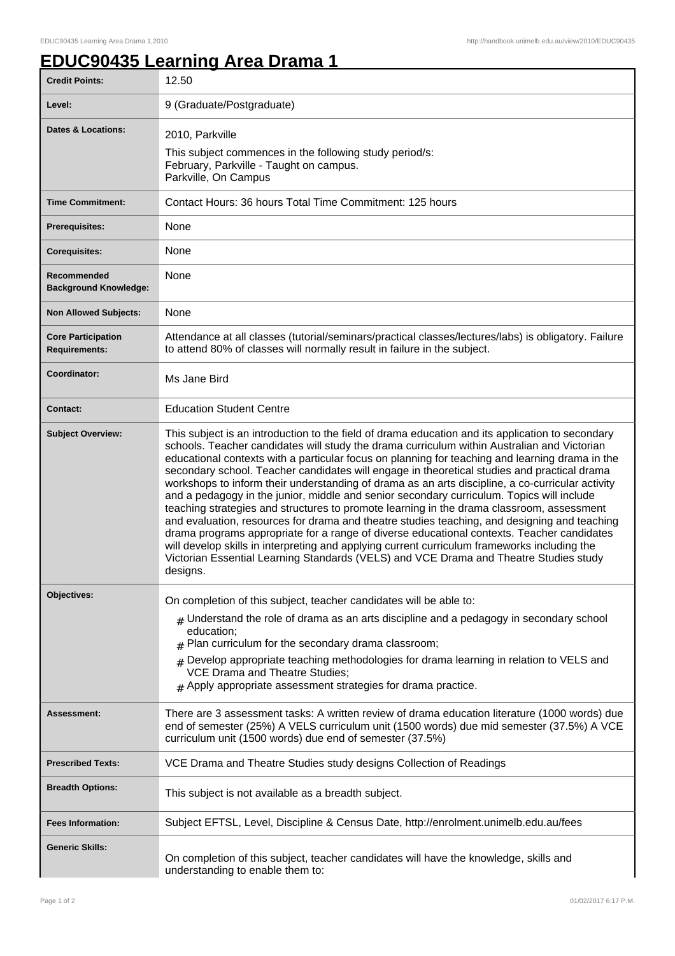## **EDUC90435 Learning Area Drama 1**

| <b>Credit Points:</b>                             | 12.50                                                                                                                                                                                                                                                                                                                                                                                                                                                                                                                                                                                                                                                                                                                                                                                                                                                                                                                                                                                                                                                                                              |
|---------------------------------------------------|----------------------------------------------------------------------------------------------------------------------------------------------------------------------------------------------------------------------------------------------------------------------------------------------------------------------------------------------------------------------------------------------------------------------------------------------------------------------------------------------------------------------------------------------------------------------------------------------------------------------------------------------------------------------------------------------------------------------------------------------------------------------------------------------------------------------------------------------------------------------------------------------------------------------------------------------------------------------------------------------------------------------------------------------------------------------------------------------------|
| Level:                                            | 9 (Graduate/Postgraduate)                                                                                                                                                                                                                                                                                                                                                                                                                                                                                                                                                                                                                                                                                                                                                                                                                                                                                                                                                                                                                                                                          |
| Dates & Locations:                                | 2010, Parkville<br>This subject commences in the following study period/s:<br>February, Parkville - Taught on campus.<br>Parkville, On Campus                                                                                                                                                                                                                                                                                                                                                                                                                                                                                                                                                                                                                                                                                                                                                                                                                                                                                                                                                      |
| <b>Time Commitment:</b>                           | Contact Hours: 36 hours Total Time Commitment: 125 hours                                                                                                                                                                                                                                                                                                                                                                                                                                                                                                                                                                                                                                                                                                                                                                                                                                                                                                                                                                                                                                           |
| <b>Prerequisites:</b>                             | <b>None</b>                                                                                                                                                                                                                                                                                                                                                                                                                                                                                                                                                                                                                                                                                                                                                                                                                                                                                                                                                                                                                                                                                        |
| <b>Corequisites:</b>                              | None                                                                                                                                                                                                                                                                                                                                                                                                                                                                                                                                                                                                                                                                                                                                                                                                                                                                                                                                                                                                                                                                                               |
| Recommended<br><b>Background Knowledge:</b>       | None                                                                                                                                                                                                                                                                                                                                                                                                                                                                                                                                                                                                                                                                                                                                                                                                                                                                                                                                                                                                                                                                                               |
| <b>Non Allowed Subjects:</b>                      | None                                                                                                                                                                                                                                                                                                                                                                                                                                                                                                                                                                                                                                                                                                                                                                                                                                                                                                                                                                                                                                                                                               |
| <b>Core Participation</b><br><b>Requirements:</b> | Attendance at all classes (tutorial/seminars/practical classes/lectures/labs) is obligatory. Failure<br>to attend 80% of classes will normally result in failure in the subject.                                                                                                                                                                                                                                                                                                                                                                                                                                                                                                                                                                                                                                                                                                                                                                                                                                                                                                                   |
| Coordinator:                                      | Ms Jane Bird                                                                                                                                                                                                                                                                                                                                                                                                                                                                                                                                                                                                                                                                                                                                                                                                                                                                                                                                                                                                                                                                                       |
| <b>Contact:</b>                                   | <b>Education Student Centre</b>                                                                                                                                                                                                                                                                                                                                                                                                                                                                                                                                                                                                                                                                                                                                                                                                                                                                                                                                                                                                                                                                    |
| <b>Subject Overview:</b>                          | This subject is an introduction to the field of drama education and its application to secondary<br>schools. Teacher candidates will study the drama curriculum within Australian and Victorian<br>educational contexts with a particular focus on planning for teaching and learning drama in the<br>secondary school. Teacher candidates will engage in theoretical studies and practical drama<br>workshops to inform their understanding of drama as an arts discipline, a co-curricular activity<br>and a pedagogy in the junior, middle and senior secondary curriculum. Topics will include<br>teaching strategies and structures to promote learning in the drama classroom, assessment<br>and evaluation, resources for drama and theatre studies teaching, and designing and teaching<br>drama programs appropriate for a range of diverse educational contexts. Teacher candidates<br>will develop skills in interpreting and applying current curriculum frameworks including the<br>Victorian Essential Learning Standards (VELS) and VCE Drama and Theatre Studies study<br>designs. |
| <b>Objectives:</b>                                | On completion of this subject, teacher candidates will be able to:<br>$*$ Understand the role of drama as an arts discipline and a pedagogy in secondary school<br>education;<br>$#$ Plan curriculum for the secondary drama classroom;<br>Develop appropriate teaching methodologies for drama learning in relation to VELS and<br><b>VCE Drama and Theatre Studies;</b><br>$#$ Apply appropriate assessment strategies for drama practice.                                                                                                                                                                                                                                                                                                                                                                                                                                                                                                                                                                                                                                                       |
| <b>Assessment:</b>                                | There are 3 assessment tasks: A written review of drama education literature (1000 words) due<br>end of semester (25%) A VELS curriculum unit (1500 words) due mid semester (37.5%) A VCE<br>curriculum unit (1500 words) due end of semester (37.5%)                                                                                                                                                                                                                                                                                                                                                                                                                                                                                                                                                                                                                                                                                                                                                                                                                                              |
| <b>Prescribed Texts:</b>                          | VCE Drama and Theatre Studies study designs Collection of Readings                                                                                                                                                                                                                                                                                                                                                                                                                                                                                                                                                                                                                                                                                                                                                                                                                                                                                                                                                                                                                                 |
| <b>Breadth Options:</b>                           | This subject is not available as a breadth subject.                                                                                                                                                                                                                                                                                                                                                                                                                                                                                                                                                                                                                                                                                                                                                                                                                                                                                                                                                                                                                                                |
| <b>Fees Information:</b>                          | Subject EFTSL, Level, Discipline & Census Date, http://enrolment.unimelb.edu.au/fees                                                                                                                                                                                                                                                                                                                                                                                                                                                                                                                                                                                                                                                                                                                                                                                                                                                                                                                                                                                                               |
| <b>Generic Skills:</b>                            | On completion of this subject, teacher candidates will have the knowledge, skills and<br>understanding to enable them to:                                                                                                                                                                                                                                                                                                                                                                                                                                                                                                                                                                                                                                                                                                                                                                                                                                                                                                                                                                          |